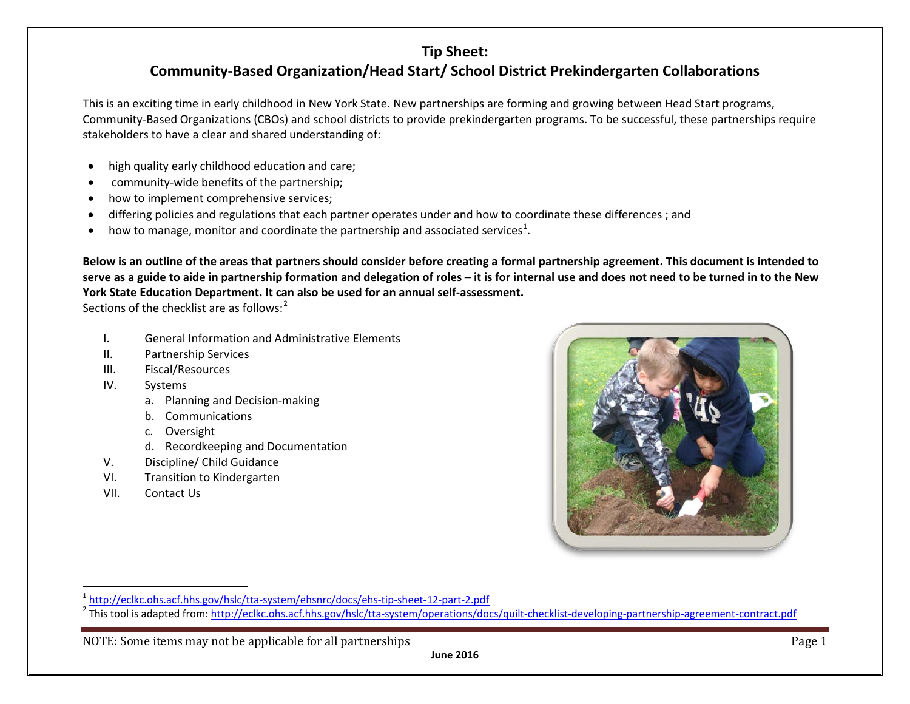This is an exciting time in early childhood in New York State. New partnerships are forming and growing between Head Start programs, Community-Based Organizations (CBOs) and school districts to provide prekindergarten programs. To be successful, these partnerships require stakeholders to have a clear and shared understanding of:

- high quality early childhood education and care;
- community-wide benefits of the partnership;
- how to implement comprehensive services;
- differing policies and regulations that each partner operates under and how to coordinate these differences ; and
- $\bullet$  how to manage, monitor and coordinate the partnership and associated services<sup>[1](#page-0-0)</sup>.

**Below is an outline of the areas that partners should consider before creating a formal partnership agreement. This document is intended to serve as a guide to aide in partnership formation and delegation of roles – it is for internal use and does not need to be turned in to the New York State Education Department. It can also be used for an annual self-assessment.** 

Sections of the checklist are as follows: $2$ 

- I. General Information and Administrative Elements
- II. Partnership Services
- III. Fiscal/Resources
- IV. Systems
	- a. Planning and Decision-making
	- b. Communications
	- c. Oversight
	- d. Recordkeeping and Documentation
- V. Discipline/ Child Guidance
- VI. Transition to Kindergarten
- VII. Contact Us

<span id="page-0-1"></span><span id="page-0-0"></span>

NOTE: Some items may not be applicable for all partnerships **Page 1** and the state of the Page 1

<sup>&</sup>lt;sup>1</sup> <http://eclkc.ohs.acf.hhs.gov/hslc/tta-system/ehsnrc/docs/ehs-tip-sheet-12-part-2.pdf><br><sup>2</sup> This tool is adapted from: http://eclkc.ohs.acf.hhs.gov/hslc/tta-system/operations/docs/quilt-checklist-developing-partnership-ag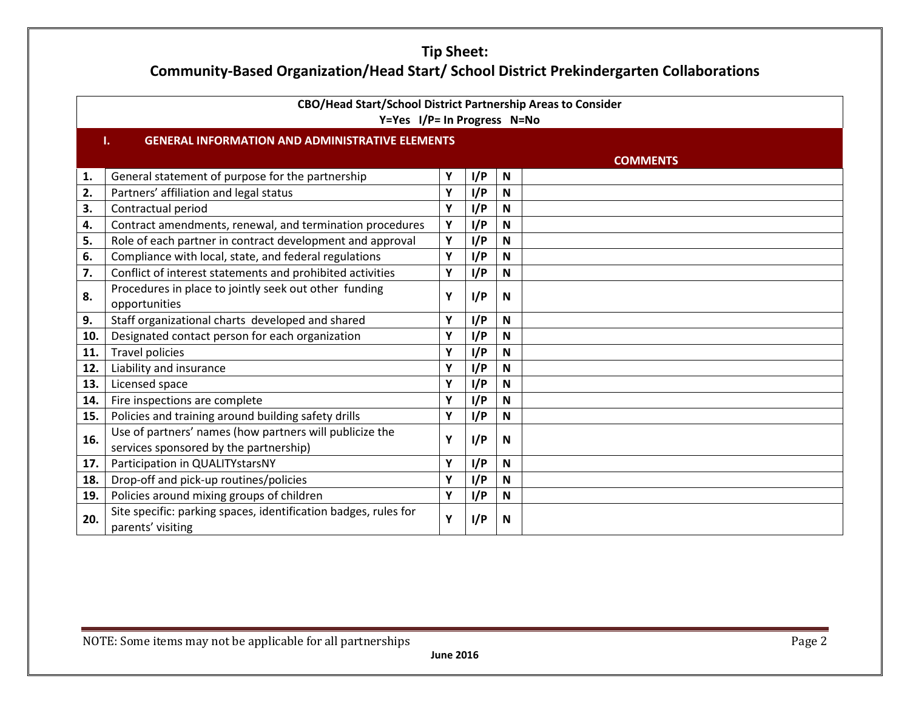| CBO/Head Start/School District Partnership Areas to Consider<br>Y=Yes I/P= In Progress N=No |                                                                                      |   |     |                           |                 |
|---------------------------------------------------------------------------------------------|--------------------------------------------------------------------------------------|---|-----|---------------------------|-----------------|
|                                                                                             | <b>GENERAL INFORMATION AND ADMINISTRATIVE ELEMENTS</b><br>Τ.                         |   |     |                           |                 |
|                                                                                             |                                                                                      |   |     |                           | <b>COMMENTS</b> |
| 1.                                                                                          | General statement of purpose for the partnership                                     | Υ | I/P | N                         |                 |
| 2.                                                                                          | Partners' affiliation and legal status                                               | Υ | I/P | N                         |                 |
| 3.                                                                                          | Contractual period                                                                   | Υ | I/P | N                         |                 |
| 4.                                                                                          | Contract amendments, renewal, and termination procedures                             | Υ | I/P | $\boldsymbol{\mathsf{N}}$ |                 |
| 5.                                                                                          | Role of each partner in contract development and approval                            | Y | I/P | $\mathsf{N}$              |                 |
| 6.                                                                                          | Compliance with local, state, and federal regulations                                | Υ | I/P | $\mathsf{N}$              |                 |
| 7.                                                                                          | Conflict of interest statements and prohibited activities                            | Υ | I/P | $\mathsf{N}$              |                 |
| 8.                                                                                          | Procedures in place to jointly seek out other funding                                | Υ | I/P | N                         |                 |
|                                                                                             | opportunities                                                                        |   |     |                           |                 |
| 9.                                                                                          | Staff organizational charts developed and shared                                     | Υ | I/P | N                         |                 |
| 10.                                                                                         | Designated contact person for each organization                                      | Υ | I/P | $\mathsf{N}$              |                 |
| 11.                                                                                         | <b>Travel policies</b>                                                               | Υ | I/P | $\mathsf{N}$              |                 |
| 12.                                                                                         | Liability and insurance                                                              | Υ | I/P | N                         |                 |
| 13.                                                                                         | Licensed space                                                                       | Υ | I/P | $\mathsf{N}$              |                 |
| 14.                                                                                         | Fire inspections are complete                                                        | Υ | I/P | N                         |                 |
| 15.                                                                                         | Policies and training around building safety drills                                  | Y | I/P | N                         |                 |
| 16.                                                                                         | Use of partners' names (how partners will publicize the                              | Υ | I/P |                           |                 |
|                                                                                             | services sponsored by the partnership)                                               |   |     | N                         |                 |
| 17.                                                                                         | Participation in QUALITYstarsNY                                                      | Υ | I/P | $\mathsf{N}$              |                 |
| 18.                                                                                         | Drop-off and pick-up routines/policies                                               | Υ | I/P | $\mathsf{N}$              |                 |
| 19.                                                                                         | Policies around mixing groups of children                                            | Υ | I/P | $\mathsf{N}$              |                 |
| 20.                                                                                         | Site specific: parking spaces, identification badges, rules for<br>parents' visiting | Υ | I/P | N                         |                 |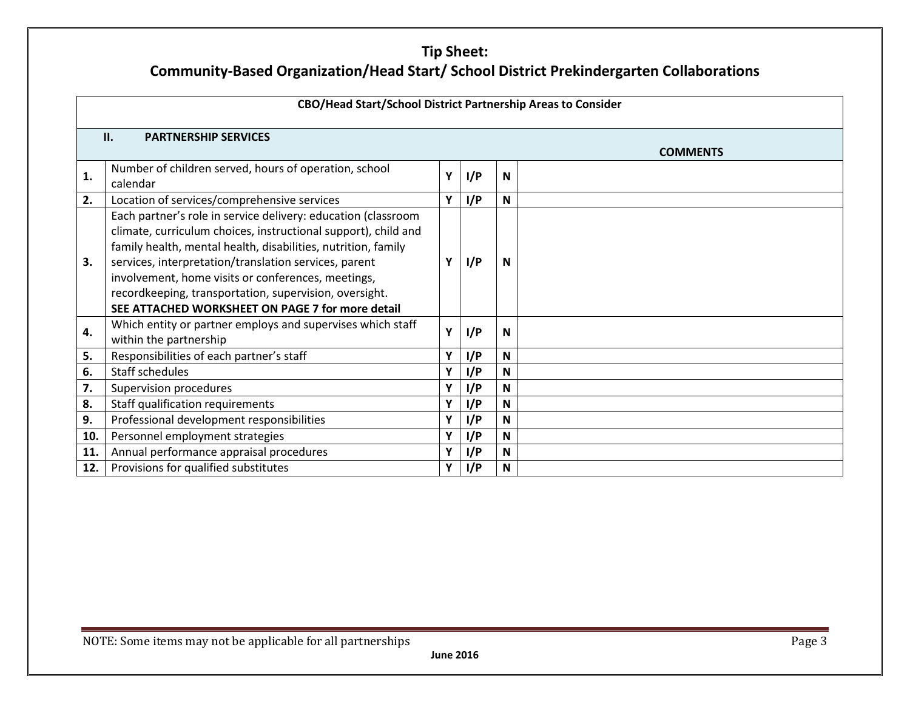| CBO/Head Start/School District Partnership Areas to Consider |                                                                                                                                                                                                                                                                                                                                                                                                                               |   |     |   |  |  |
|--------------------------------------------------------------|-------------------------------------------------------------------------------------------------------------------------------------------------------------------------------------------------------------------------------------------------------------------------------------------------------------------------------------------------------------------------------------------------------------------------------|---|-----|---|--|--|
|                                                              | II.<br><b>PARTNERSHIP SERVICES</b><br><b>COMMENTS</b>                                                                                                                                                                                                                                                                                                                                                                         |   |     |   |  |  |
| 1.                                                           | Number of children served, hours of operation, school<br>calendar                                                                                                                                                                                                                                                                                                                                                             | Υ | I/P | N |  |  |
| 2.                                                           | Location of services/comprehensive services                                                                                                                                                                                                                                                                                                                                                                                   | Υ | I/P | N |  |  |
| 3.                                                           | Each partner's role in service delivery: education (classroom<br>climate, curriculum choices, instructional support), child and<br>family health, mental health, disabilities, nutrition, family<br>services, interpretation/translation services, parent<br>involvement, home visits or conferences, meetings,<br>recordkeeping, transportation, supervision, oversight.<br>SEE ATTACHED WORKSHEET ON PAGE 7 for more detail |   | I/P | N |  |  |
| 4.                                                           | Which entity or partner employs and supervises which staff<br>within the partnership                                                                                                                                                                                                                                                                                                                                          | Υ | I/P | N |  |  |
| 5.                                                           | Responsibilities of each partner's staff                                                                                                                                                                                                                                                                                                                                                                                      | Υ | I/P | N |  |  |
| 6.                                                           | Staff schedules                                                                                                                                                                                                                                                                                                                                                                                                               | Υ | I/P | N |  |  |
| 7.                                                           | Supervision procedures                                                                                                                                                                                                                                                                                                                                                                                                        | Υ | I/P | N |  |  |
| 8.                                                           | Staff qualification requirements                                                                                                                                                                                                                                                                                                                                                                                              | Υ | I/P | N |  |  |
| 9.                                                           | Professional development responsibilities                                                                                                                                                                                                                                                                                                                                                                                     | Υ | I/P | N |  |  |
| 10.                                                          | Personnel employment strategies                                                                                                                                                                                                                                                                                                                                                                                               | Υ | I/P | N |  |  |
| 11.                                                          | Annual performance appraisal procedures                                                                                                                                                                                                                                                                                                                                                                                       | Y | I/P | N |  |  |
| 12.                                                          | Provisions for qualified substitutes                                                                                                                                                                                                                                                                                                                                                                                          | Y | I/P | N |  |  |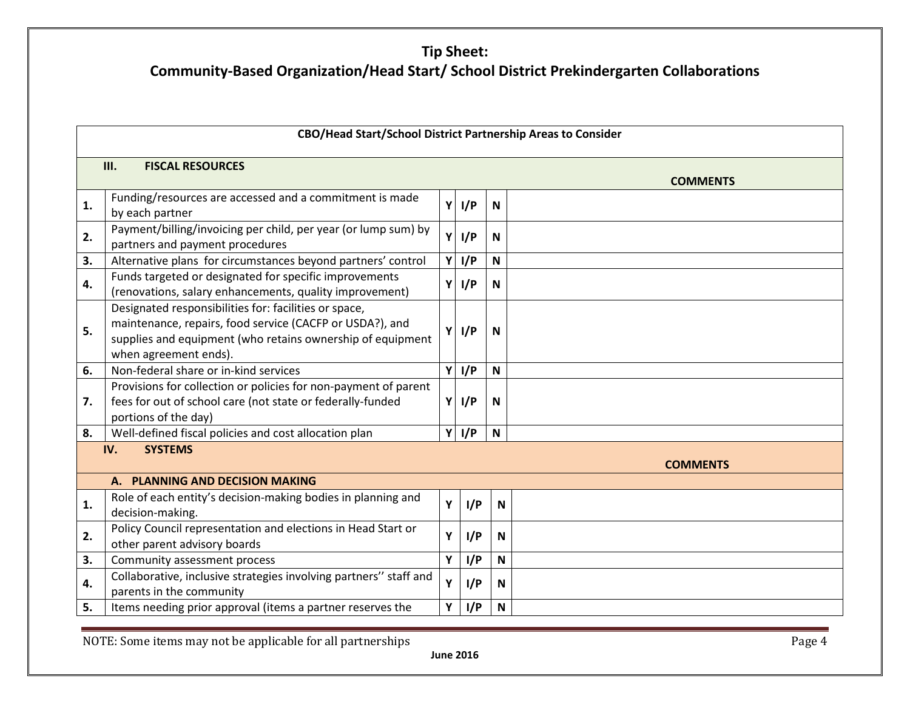| CBO/Head Start/School District Partnership Areas to Consider |                                                                                                                                                                                                          |    |         |              |  |  |
|--------------------------------------------------------------|----------------------------------------------------------------------------------------------------------------------------------------------------------------------------------------------------------|----|---------|--------------|--|--|
| III.<br><b>FISCAL RESOURCES</b><br><b>COMMENTS</b>           |                                                                                                                                                                                                          |    |         |              |  |  |
| 1.                                                           | Funding/resources are accessed and a commitment is made<br>by each partner                                                                                                                               |    | $Y$ I/P | ${\sf N}$    |  |  |
| 2.                                                           | Payment/billing/invoicing per child, per year (or lump sum) by<br>partners and payment procedures                                                                                                        | Υİ | I/P     | N            |  |  |
| 3.                                                           | Alternative plans for circumstances beyond partners' control                                                                                                                                             | Y  | I/P     | ${\sf N}$    |  |  |
| 4.                                                           | Funds targeted or designated for specific improvements<br>(renovations, salary enhancements, quality improvement)                                                                                        | Y. | I/P     | ${\sf N}$    |  |  |
| 5.                                                           | Designated responsibilities for: facilities or space,<br>maintenance, repairs, food service (CACFP or USDA?), and<br>supplies and equipment (who retains ownership of equipment<br>when agreement ends). | Y  | I/P     | N            |  |  |
| 6.                                                           | Non-federal share or in-kind services                                                                                                                                                                    |    | $Y$ I/P | ${\sf N}$    |  |  |
| 7.                                                           | Provisions for collection or policies for non-payment of parent<br>fees for out of school care (not state or federally-funded<br>portions of the day)                                                    | Y  | I/P     | $\mathbf N$  |  |  |
| 8.                                                           | Well-defined fiscal policies and cost allocation plan                                                                                                                                                    | Y  | I/P     | N            |  |  |
| <b>SYSTEMS</b><br>IV.<br><b>COMMENTS</b>                     |                                                                                                                                                                                                          |    |         |              |  |  |
|                                                              | A. PLANNING AND DECISION MAKING                                                                                                                                                                          |    |         |              |  |  |
| 1.                                                           | Role of each entity's decision-making bodies in planning and<br>decision-making.                                                                                                                         | Y  | I/P     | $\mathsf{N}$ |  |  |
| 2.                                                           | Policy Council representation and elections in Head Start or<br>other parent advisory boards                                                                                                             | Υ  | I/P     | N            |  |  |
| 3.                                                           | Community assessment process                                                                                                                                                                             | Υ  | I/P     | $\mathsf{N}$ |  |  |
| 4.                                                           | Collaborative, inclusive strategies involving partners" staff and<br>parents in the community                                                                                                            | Υ  | I/P     | $\mathsf{N}$ |  |  |
| 5.                                                           | Items needing prior approval (items a partner reserves the                                                                                                                                               | Υ  | I/P     | N            |  |  |

NOTE: Some items may not be applicable for all partnerships **Page 4**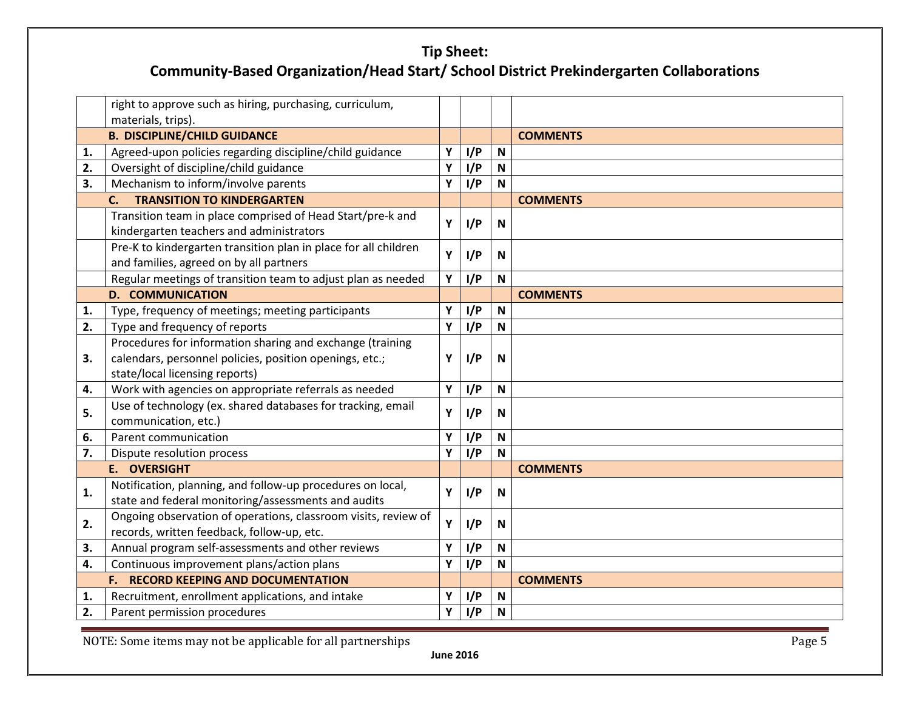|    | right to approve such as hiring, purchasing, curriculum,                                                          |   |     |              |                 |
|----|-------------------------------------------------------------------------------------------------------------------|---|-----|--------------|-----------------|
|    | materials, trips).                                                                                                |   |     |              |                 |
|    | <b>B. DISCIPLINE/CHILD GUIDANCE</b>                                                                               |   |     |              | <b>COMMENTS</b> |
| 1. | Agreed-upon policies regarding discipline/child guidance                                                          | Υ | I/P | N            |                 |
| 2. | Oversight of discipline/child guidance                                                                            | Υ | I/P | $\mathbf N$  |                 |
| 3. | Mechanism to inform/involve parents                                                                               | Υ | I/P | N            |                 |
|    | <b>TRANSITION TO KINDERGARTEN</b><br>$\mathsf{C}$ .                                                               |   |     |              | <b>COMMENTS</b> |
|    | Transition team in place comprised of Head Start/pre-k and<br>kindergarten teachers and administrators            | Υ | I/P | N            |                 |
|    | Pre-K to kindergarten transition plan in place for all children<br>and families, agreed on by all partners        | Y | I/P | N            |                 |
|    | Regular meetings of transition team to adjust plan as needed                                                      | Y | I/P | $\mathbf N$  |                 |
|    | <b>D. COMMUNICATION</b>                                                                                           |   |     |              | <b>COMMENTS</b> |
| 1. | Type, frequency of meetings; meeting participants                                                                 | Υ | I/P | N            |                 |
| 2. | Type and frequency of reports                                                                                     | Υ | I/P | N            |                 |
|    | Procedures for information sharing and exchange (training                                                         |   |     |              |                 |
| З. | calendars, personnel policies, position openings, etc.;<br>state/local licensing reports)                         | Υ | I/P | N            |                 |
| 4. | Work with agencies on appropriate referrals as needed                                                             | Υ | I/P | $\mathbf N$  |                 |
| 5. | Use of technology (ex. shared databases for tracking, email<br>communication, etc.)                               | Υ | I/P | N            |                 |
| 6. | Parent communication                                                                                              | Υ | I/P | N            |                 |
| 7. | Dispute resolution process                                                                                        | Y | I/P | N            |                 |
|    | <b>E. OVERSIGHT</b>                                                                                               |   |     |              | <b>COMMENTS</b> |
| 1. | Notification, planning, and follow-up procedures on local,<br>state and federal monitoring/assessments and audits | Υ | I/P | N            |                 |
| 2. | Ongoing observation of operations, classroom visits, review of<br>records, written feedback, follow-up, etc.      | Y | I/P | N            |                 |
| 3. | Annual program self-assessments and other reviews                                                                 | Y | I/P | $\mathsf{N}$ |                 |
| 4. | Continuous improvement plans/action plans                                                                         | Υ | I/P | N            |                 |
|    | <b>F. RECORD KEEPING AND DOCUMENTATION</b>                                                                        |   |     |              | <b>COMMENTS</b> |
| 1. | Recruitment, enrollment applications, and intake                                                                  | Υ | I/P | N            |                 |
| 2. | Parent permission procedures                                                                                      | Υ | I/P | N            |                 |

NOTE: Some items may not be applicable for all partnerships **Page 5**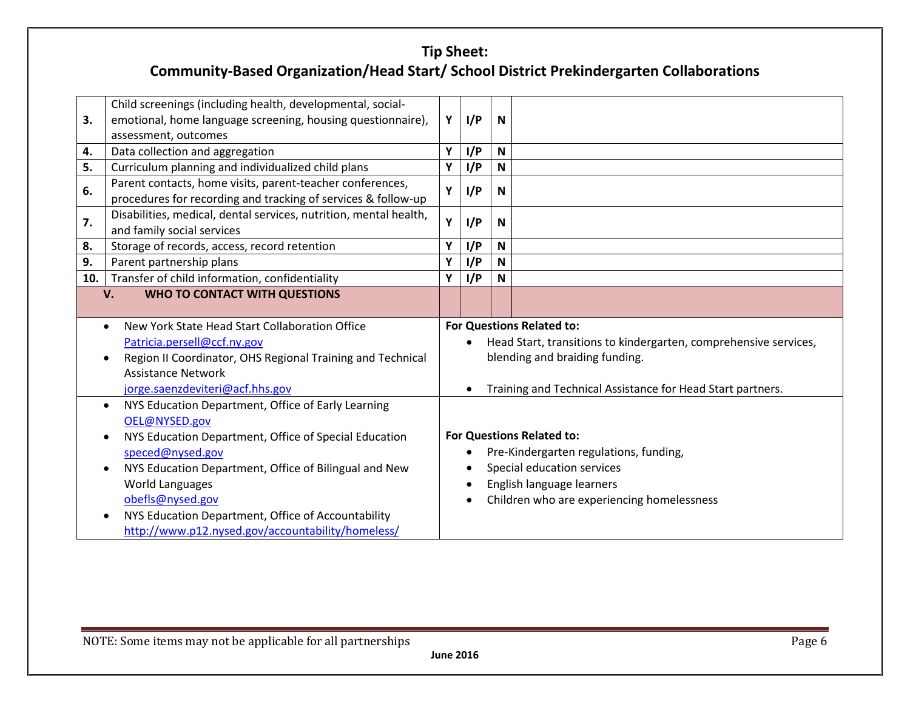| 3.  | Child screenings (including health, developmental, social-<br>emotional, home language screening, housing questionnaire),<br>assessment, outcomes | Y | I/P       | $\mathsf{N}$ |                                                                  |
|-----|---------------------------------------------------------------------------------------------------------------------------------------------------|---|-----------|--------------|------------------------------------------------------------------|
| 4.  | Data collection and aggregation                                                                                                                   | Υ | I/P       | $\mathsf{N}$ |                                                                  |
| 5.  | Curriculum planning and individualized child plans                                                                                                | Υ | I/P       | N            |                                                                  |
| 6.  | Parent contacts, home visits, parent-teacher conferences,<br>procedures for recording and tracking of services & follow-up                        | Υ | I/P       | N            |                                                                  |
| 7.  | Disabilities, medical, dental services, nutrition, mental health,<br>and family social services                                                   | Y | I/P       | N            |                                                                  |
| 8.  | Storage of records, access, record retention                                                                                                      | Y | I/P       | $\mathbf N$  |                                                                  |
| 9.  | Parent partnership plans                                                                                                                          | Υ | I/P       | N            |                                                                  |
| 10. | Transfer of child information, confidentiality                                                                                                    | Υ | I/P       | N            |                                                                  |
|     | <b>WHO TO CONTACT WITH QUESTIONS</b><br>V.                                                                                                        |   |           |              |                                                                  |
|     |                                                                                                                                                   |   |           |              |                                                                  |
|     |                                                                                                                                                   |   |           |              |                                                                  |
|     | New York State Head Start Collaboration Office<br>$\bullet$                                                                                       |   |           |              | <b>For Questions Related to:</b>                                 |
|     | Patricia.persell@ccf.ny.gov                                                                                                                       |   | $\bullet$ |              | Head Start, transitions to kindergarten, comprehensive services, |
|     | Region II Coordinator, OHS Regional Training and Technical                                                                                        |   |           |              | blending and braiding funding.                                   |
|     | <b>Assistance Network</b>                                                                                                                         |   |           |              |                                                                  |
|     | jorge.saenzdeviteri@acf.hhs.gov                                                                                                                   |   |           |              | Training and Technical Assistance for Head Start partners.       |
|     | NYS Education Department, Office of Early Learning                                                                                                |   |           |              |                                                                  |
|     | OEL@NYSED.gov                                                                                                                                     |   |           |              |                                                                  |
|     | NYS Education Department, Office of Special Education                                                                                             |   |           |              | <b>For Questions Related to:</b>                                 |
|     | speced@nysed.gov                                                                                                                                  |   |           |              | Pre-Kindergarten regulations, funding,                           |
|     | NYS Education Department, Office of Bilingual and New                                                                                             |   |           |              | Special education services                                       |
|     | World Languages                                                                                                                                   |   |           |              | English language learners                                        |
|     | obefls@nysed.gov                                                                                                                                  |   |           |              | Children who are experiencing homelessness                       |
|     | NYS Education Department, Office of Accountability<br>http://www.p12.nysed.gov/accountability/homeless/                                           |   |           |              |                                                                  |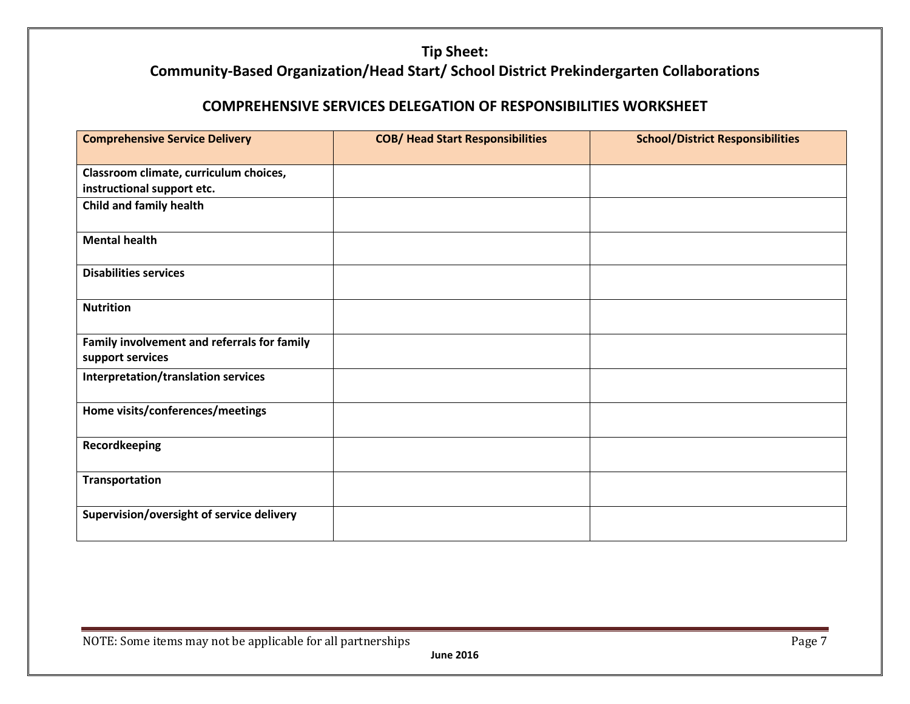#### **COMPREHENSIVE SERVICES DELEGATION OF RESPONSIBILITIES WORKSHEET**

| <b>Comprehensive Service Delivery</b>       | <b>COB/ Head Start Responsibilities</b> | <b>School/District Responsibilities</b> |
|---------------------------------------------|-----------------------------------------|-----------------------------------------|
|                                             |                                         |                                         |
| Classroom climate, curriculum choices,      |                                         |                                         |
| instructional support etc.                  |                                         |                                         |
| Child and family health                     |                                         |                                         |
| <b>Mental health</b>                        |                                         |                                         |
| <b>Disabilities services</b>                |                                         |                                         |
| <b>Nutrition</b>                            |                                         |                                         |
| Family involvement and referrals for family |                                         |                                         |
| support services                            |                                         |                                         |
| Interpretation/translation services         |                                         |                                         |
| Home visits/conferences/meetings            |                                         |                                         |
| Recordkeeping                               |                                         |                                         |
| <b>Transportation</b>                       |                                         |                                         |
| Supervision/oversight of service delivery   |                                         |                                         |